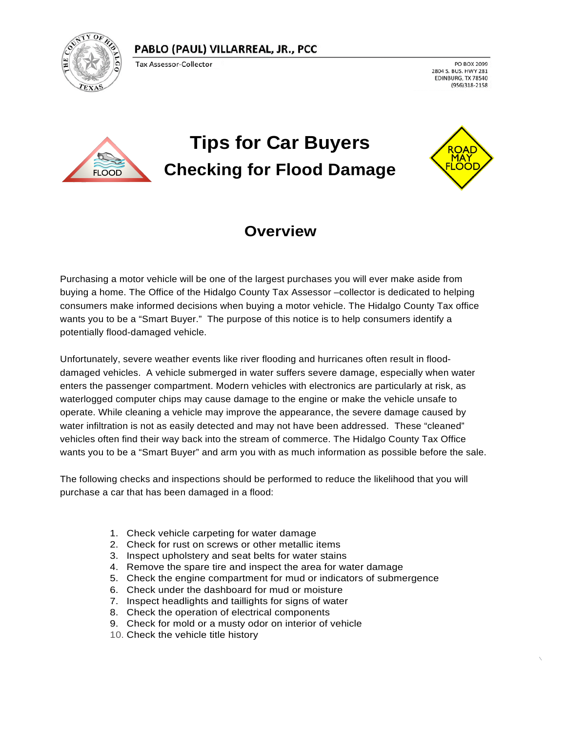#### PABLO (PAUL) VILLARREAL, JR., PCC



Tax Assessor-Collector

PO BOX 2099 2804 S. BUS. HWY 281 EDINBURG, TX 78540 (956)318-2158



# **Tips for Car Buyers Checking for Flood Damage**



 $\overline{\phantom{a}}$ 

#### **Overview**

Purchasing a motor vehicle will be one of the largest purchases you will ever make aside from buying a home. The Office of the Hidalgo County Tax Assessor –collector is dedicated to helping consumers make informed decisions when buying a motor vehicle. The Hidalgo County Tax office wants you to be a "Smart Buyer." The purpose of this notice is to help consumers identify a potentially flood-damaged vehicle.

Unfortunately, severe weather events like river flooding and hurricanes often result in flooddamaged vehicles. A vehicle submerged in water suffers severe damage, especially when water enters the passenger compartment. Modern vehicles with electronics are particularly at risk, as waterlogged computer chips may cause damage to the engine or make the vehicle unsafe to operate. While cleaning a vehicle may improve the appearance, the severe damage caused by water infiltration is not as easily detected and may not have been addressed. These "cleaned" vehicles often find their way back into the stream of commerce. The Hidalgo County Tax Office wants you to be a "Smart Buyer" and arm you with as much information as possible before the sale.

The following checks and inspections should be performed to reduce the likelihood that you will purchase a car that has been damaged in a flood:

- 1. Check vehicle carpeting for water damage
- 2. Check for rust on screws or other metallic items
- 3. Inspect upholstery and seat belts for water stains
- 4. Remove the spare tire and inspect the area for water damage
- 5. Check the engine compartment for mud or indicators of submergence
- 6. Check under the dashboard for mud or moisture
- 7. Inspect headlights and taillights for signs of water
- 8. Check the operation of electrical components
- 9. Check for mold or a musty odor on interior of vehicle
- 10. Check the vehicle title history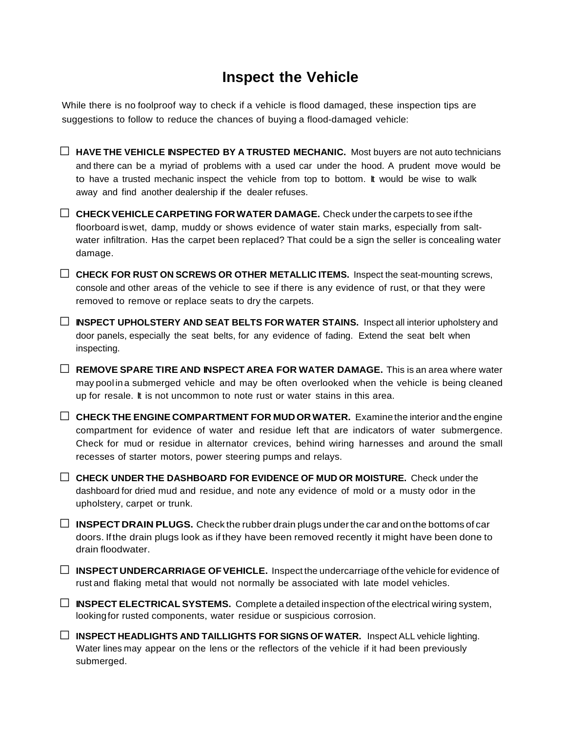### **Inspect the Vehicle**

While there is no foolproof way to check if a vehicle is flood damaged, these inspection tips are suggestions to follow to reduce the chances of buying a flood-damaged vehicle:



□ **CHECKVEHICLE CARPETING FORWATER DAMAGE.** Check underthe carpets to see ifthe floorboard iswet, damp, muddy or shows evidence of water stain marks, especially from saltwater infiltration. Has the carpet been replaced? That could be a sign the seller is concealing water damage.

□ **CHECK FOR RUST ON SCREWS OR OTHER METALLIC ITEMS.** Inspect the seat-mounting screws, console and other areas of the vehicle to see if there is any evidence of rust, or that they were removed to remove or replace seats to dry the carpets.

□ **INSPECT UPHOLSTERY AND SEAT BELTS FOR WATER STAINS.** Inspect all interior upholstery and door panels, especially the seat belts, for any evidence of fading. Extend the seat belt when inspecting.

□ **REMOVE SPARE TIRE AND INSPECT AREA FOR WATER DAMAGE.** This is an area where water may pool ina submerged vehicle and may be often overlooked when the vehicle is being cleaned up for resale. It is not uncommon to note rust or water stains in this area.

□ **CHECK THE ENGINE COMPARTMENT FOR MUDORWATER.** Examine the interior and the engine compartment for evidence of water and residue left that are indicators of water submergence. Check for mud or residue in alternator crevices, behind wiring harnesses and around the small recesses of starter motors, power steering pumps and relays.

□ **CHECK UNDER THE DASHBOARD FOR EVIDENCE OF MUD OR MOISTURE.** Check under the dashboard for dried mud and residue, and note any evidence of mold or a musty odor in the upholstery, carpet or trunk.

 $\Box$  **INSPECT DRAIN PLUGS.** Check the rubber drain plugs under the car and on the bottoms of car doors. Ifthe drain plugs look as if they have been removed recently it might have been done to drain floodwater.

□ **INSPECT UNDERCARRIAGE OFVEHICLE.** Inspect the undercarriage of the vehicle for evidence of rust and flaking metal that would not normally be associated with late model vehicles.

 $\Box$  **INSPECT ELECTRICAL SYSTEMS.** Complete a detailed inspection of the electrical wiring system, lookingfor rusted components, water residue or suspicious corrosion.

□ **INSPECT HEADLIGHTS AND TAILLIGHTS FOR SIGNS OF WATER.** Inspect ALL vehicle lighting. Water lines may appear on the lens or the reflectors of the vehicle if it had been previously submerged.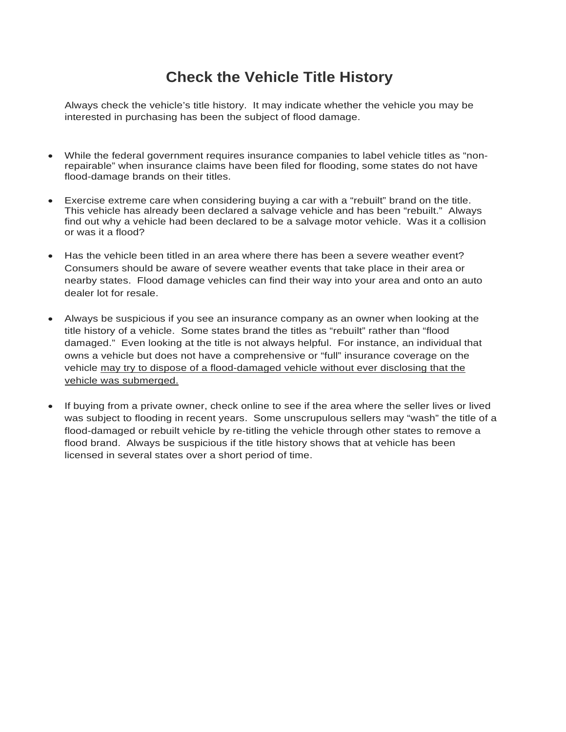# **Check the Vehicle Title History**

Always check the vehicle's title history. It may indicate whether the vehicle you may be interested in purchasing has been the subject of flood damage.

- While the federal government requires insurance companies to label vehicle titles as "nonrepairable" when insurance claims have been filed for flooding, some states do not have flood-damage brands on their titles.
- Exercise extreme care when considering buying a car with a "rebuilt" brand on the title. This vehicle has already been declared a salvage vehicle and has been "rebuilt." Always find out why a vehicle had been declared to be a salvage motor vehicle. Was it a collision or was it a flood?
- Has the vehicle been titled in an area where there has been a severe weather event? Consumers should be aware of severe weather events that take place in their area or nearby states. Flood damage vehicles can find their way into your area and onto an auto dealer lot for resale.
- Always be suspicious if you see an insurance company as an owner when looking at the title history of a vehicle. Some states brand the titles as "rebuilt" rather than "flood damaged." Even looking at the title is not always helpful. For instance, an individual that owns a vehicle but does not have a comprehensive or "full" insurance coverage on the vehicle may try to dispose of a flood-damaged vehicle without ever disclosing that the vehicle was submerged.
- If buying from a private owner, check online to see if the area where the seller lives or lived was subject to flooding in recent years. Some unscrupulous sellers may "wash" the title of a flood-damaged or rebuilt vehicle by re-titling the vehicle through other states to remove a flood brand. Always be suspicious if the title history shows that at vehicle has been licensed in several states over a short period of time.